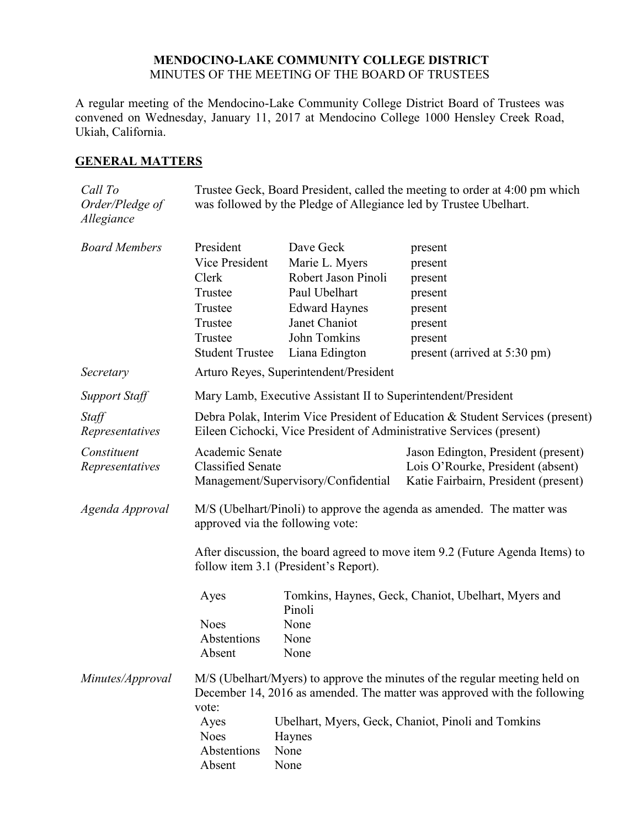## **MENDOCINO-LAKE COMMUNITY COLLEGE DISTRICT** MINUTES OF THE MEETING OF THE BOARD OF TRUSTEES

A regular meeting of the Mendocino-Lake Community College District Board of Trustees was convened on Wednesday, January 11, 2017 at Mendocino College 1000 Hensley Creek Road, Ukiah, California.

# **GENERAL MATTERS**

| Call To<br>Order/Pledge of<br>Allegiance | Trustee Geck, Board President, called the meeting to order at 4:00 pm which<br>was followed by the Pledge of Allegiance led by Trustee Ubelhart.                |                                                                                                                                                |                                                                                                                  |  |
|------------------------------------------|-----------------------------------------------------------------------------------------------------------------------------------------------------------------|------------------------------------------------------------------------------------------------------------------------------------------------|------------------------------------------------------------------------------------------------------------------|--|
| <b>Board Members</b>                     | President<br>Vice President<br>Clerk<br>Trustee<br>Trustee<br>Trustee<br>Trustee<br><b>Student Trustee</b>                                                      | Dave Geck<br>Marie L. Myers<br>Robert Jason Pinoli<br>Paul Ubelhart<br><b>Edward Haynes</b><br>Janet Chaniot<br>John Tomkins<br>Liana Edington | present<br>present<br>present<br>present<br>present<br>present<br>present<br>present (arrived at 5:30 pm)        |  |
| Secretary                                | Arturo Reyes, Superintendent/President                                                                                                                          |                                                                                                                                                |                                                                                                                  |  |
| <b>Support Staff</b>                     | Mary Lamb, Executive Assistant II to Superintendent/President                                                                                                   |                                                                                                                                                |                                                                                                                  |  |
| Staff<br>Representatives                 | Debra Polak, Interim Vice President of Education & Student Services (present)<br>Eileen Cichocki, Vice President of Administrative Services (present)           |                                                                                                                                                |                                                                                                                  |  |
| Constituent<br>Representatives           | Academic Senate<br><b>Classified Senate</b><br>Management/Supervisory/Confidential                                                                              |                                                                                                                                                | Jason Edington, President (present)<br>Lois O'Rourke, President (absent)<br>Katie Fairbairn, President (present) |  |
| Agenda Approval                          | M/S (Ubelhart/Pinoli) to approve the agenda as amended. The matter was<br>approved via the following vote:                                                      |                                                                                                                                                |                                                                                                                  |  |
|                                          | After discussion, the board agreed to move item 9.2 (Future Agenda Items) to<br>follow item 3.1 (President's Report).                                           |                                                                                                                                                |                                                                                                                  |  |
|                                          | Ayes                                                                                                                                                            | Tomkins, Haynes, Geck, Chaniot, Ubelhart, Myers and<br>Pinoli                                                                                  |                                                                                                                  |  |
|                                          | <b>Noes</b>                                                                                                                                                     | None                                                                                                                                           |                                                                                                                  |  |
|                                          | Abstentions                                                                                                                                                     | None                                                                                                                                           |                                                                                                                  |  |
|                                          | Absent                                                                                                                                                          | None                                                                                                                                           |                                                                                                                  |  |
| Minutes/Approval                         | M/S (Ubelhart/Myers) to approve the minutes of the regular meeting held on<br>December 14, 2016 as amended. The matter was approved with the following<br>vote: |                                                                                                                                                |                                                                                                                  |  |
|                                          | Ayes                                                                                                                                                            |                                                                                                                                                | Ubelhart, Myers, Geck, Chaniot, Pinoli and Tomkins                                                               |  |
|                                          | <b>Noes</b>                                                                                                                                                     | Haynes                                                                                                                                         |                                                                                                                  |  |
|                                          | Abstentions                                                                                                                                                     | None                                                                                                                                           |                                                                                                                  |  |
|                                          | Absent                                                                                                                                                          | None                                                                                                                                           |                                                                                                                  |  |
|                                          |                                                                                                                                                                 |                                                                                                                                                |                                                                                                                  |  |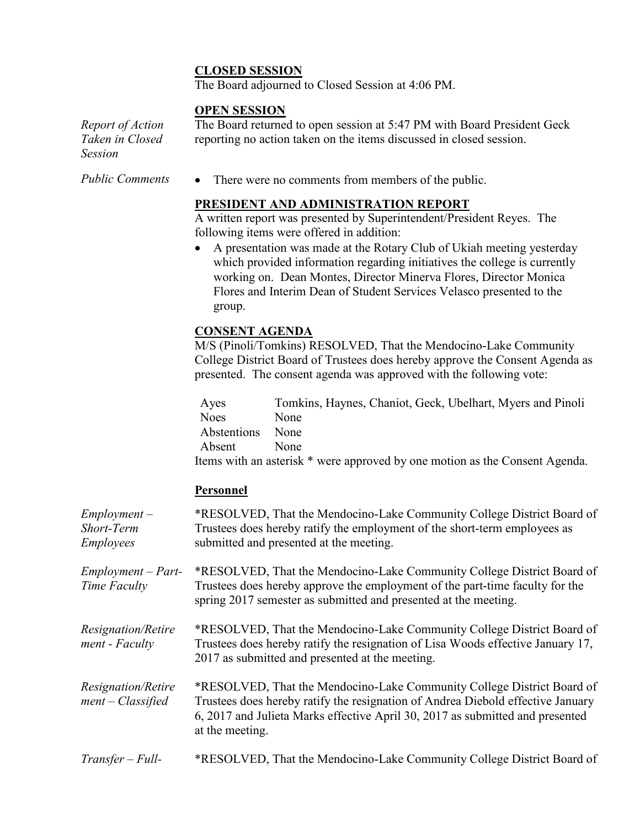# **CLOSED SESSION**

The Board adjourned to Closed Session at 4:06 PM.

#### **OPEN SESSION**

*Report of Action Taken in Closed Session*

The Board returned to open session at 5:47 PM with Board President Geck reporting no action taken on the items discussed in closed session.

*Public Comments* • There were no comments from members of the public.

## **PRESIDENT AND ADMINISTRATION REPORT**

A written report was presented by Superintendent/President Reyes. The following items were offered in addition:

 A presentation was made at the Rotary Club of Ukiah meeting yesterday which provided information regarding initiatives the college is currently working on. Dean Montes, Director Minerva Flores, Director Monica Flores and Interim Dean of Student Services Velasco presented to the group.

## **CONSENT AGENDA**

M/S (Pinoli/Tomkins) RESOLVED, That the Mendocino-Lake Community College District Board of Trustees does hereby approve the Consent Agenda as presented. The consent agenda was approved with the following vote:

| Ayes        | Tomkins, Haynes, Chaniot, Geck, Ubelhart, Myers and Pinoli                  |
|-------------|-----------------------------------------------------------------------------|
| <b>Noes</b> | None                                                                        |
| Abstentions | <b>None</b>                                                                 |
| Absent      | <b>None</b>                                                                 |
|             | Items with an asterisk * were approved by one motion as the Consent Agenda. |

## **Personnel**

| $Employment -$<br>Short-Term<br><b>Employees</b> | *RESOLVED, That the Mendocino-Lake Community College District Board of<br>Trustees does hereby ratify the employment of the short-term employees as<br>submitted and presented at the meeting.                                                                |
|--------------------------------------------------|---------------------------------------------------------------------------------------------------------------------------------------------------------------------------------------------------------------------------------------------------------------|
| $Employment - Part-$<br>Time Faculty             | *RESOLVED, That the Mendocino-Lake Community College District Board of<br>Trustees does hereby approve the employment of the part-time faculty for the<br>spring 2017 semester as submitted and presented at the meeting.                                     |
| Resignation/Retire<br>ment - Faculty             | *RESOLVED, That the Mendocino-Lake Community College District Board of<br>Trustees does hereby ratify the resignation of Lisa Woods effective January 17,<br>2017 as submitted and presented at the meeting.                                                  |
| Resignation/Retire<br>$ment - Classified$        | *RESOLVED, That the Mendocino-Lake Community College District Board of<br>Trustees does hereby ratify the resignation of Andrea Diebold effective January<br>6, 2017 and Julieta Marks effective April 30, 2017 as submitted and presented<br>at the meeting. |
| $Transfer - Full-$                               | *RESOLVED, That the Mendocino-Lake Community College District Board of                                                                                                                                                                                        |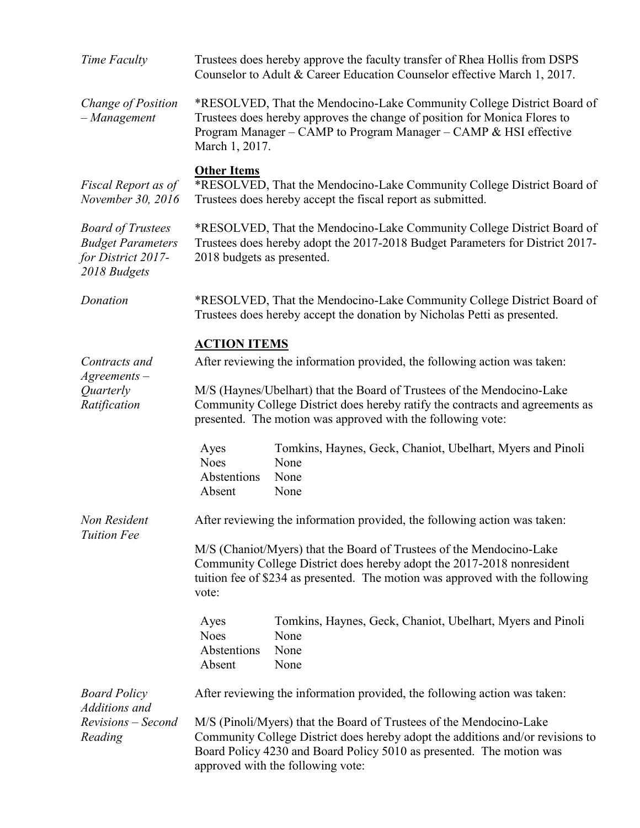| Time Faculty                                                                               | Trustees does hereby approve the faculty transfer of Rhea Hollis from DSPS<br>Counselor to Adult & Career Education Counselor effective March 1, 2017.                                                                                                                                                                     |                                                                                    |  |  |
|--------------------------------------------------------------------------------------------|----------------------------------------------------------------------------------------------------------------------------------------------------------------------------------------------------------------------------------------------------------------------------------------------------------------------------|------------------------------------------------------------------------------------|--|--|
| Change of Position<br>$-Management$                                                        | *RESOLVED, That the Mendocino-Lake Community College District Board of<br>Trustees does hereby approves the change of position for Monica Flores to<br>Program Manager – CAMP to Program Manager – CAMP & HSI effective<br>March 1, 2017.                                                                                  |                                                                                    |  |  |
| Fiscal Report as of<br>November 30, 2016                                                   | <b>Other Items</b><br>*RESOLVED, That the Mendocino-Lake Community College District Board of<br>Trustees does hereby accept the fiscal report as submitted.                                                                                                                                                                |                                                                                    |  |  |
| <b>Board of Trustees</b><br><b>Budget Parameters</b><br>for District 2017-<br>2018 Budgets | *RESOLVED, That the Mendocino-Lake Community College District Board of<br>Trustees does hereby adopt the 2017-2018 Budget Parameters for District 2017-<br>2018 budgets as presented.                                                                                                                                      |                                                                                    |  |  |
| Donation                                                                                   | *RESOLVED, That the Mendocino-Lake Community College District Board of<br>Trustees does hereby accept the donation by Nicholas Petti as presented.                                                                                                                                                                         |                                                                                    |  |  |
| Contracts and<br>$A$ greements $-$<br>Quarterly<br>Ratification                            | <b>ACTION ITEMS</b><br>After reviewing the information provided, the following action was taken:<br>M/S (Haynes/Ubelhart) that the Board of Trustees of the Mendocino-Lake<br>Community College District does hereby ratify the contracts and agreements as<br>presented. The motion was approved with the following vote: |                                                                                    |  |  |
|                                                                                            | Ayes<br><b>Noes</b><br>Abstentions<br>Absent                                                                                                                                                                                                                                                                               | Tomkins, Haynes, Geck, Chaniot, Ubelhart, Myers and Pinoli<br>None<br>None<br>None |  |  |
| Non Resident<br><b>Tuition Fee</b>                                                         |                                                                                                                                                                                                                                                                                                                            | After reviewing the information provided, the following action was taken:          |  |  |
|                                                                                            | M/S (Chaniot/Myers) that the Board of Trustees of the Mendocino-Lake<br>Community College District does hereby adopt the 2017-2018 nonresident<br>tuition fee of \$234 as presented. The motion was approved with the following<br>vote:                                                                                   |                                                                                    |  |  |
|                                                                                            | Ayes<br><b>Noes</b><br>Abstentions<br>Absent                                                                                                                                                                                                                                                                               | Tomkins, Haynes, Geck, Chaniot, Ubelhart, Myers and Pinoli<br>None<br>None<br>None |  |  |
| <b>Board Policy</b><br>Additions and                                                       | After reviewing the information provided, the following action was taken:                                                                                                                                                                                                                                                  |                                                                                    |  |  |
| Revisions - Second<br>Reading                                                              | M/S (Pinoli/Myers) that the Board of Trustees of the Mendocino-Lake<br>Community College District does hereby adopt the additions and/or revisions to<br>Board Policy 4230 and Board Policy 5010 as presented. The motion was<br>approved with the following vote:                                                         |                                                                                    |  |  |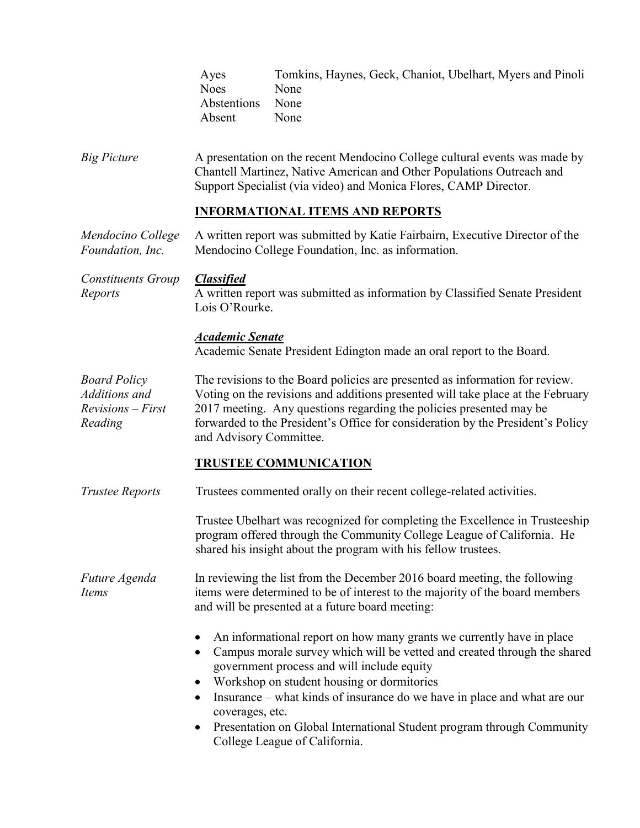|                                                                        | Tomkins, Haynes, Geck, Chaniot, Ubelhart, Myers and Pinoli<br>Ayes<br><b>Noes</b><br>None<br>Abstentions<br>None<br>None<br>Absent                                                                                                                                                                                                                                                                                                                           |  |  |  |
|------------------------------------------------------------------------|--------------------------------------------------------------------------------------------------------------------------------------------------------------------------------------------------------------------------------------------------------------------------------------------------------------------------------------------------------------------------------------------------------------------------------------------------------------|--|--|--|
| <b>Big Picture</b>                                                     | A presentation on the recent Mendocino College cultural events was made by<br>Chantell Martinez, Native American and Other Populations Outreach and<br>Support Specialist (via video) and Monica Flores, CAMP Director.                                                                                                                                                                                                                                      |  |  |  |
|                                                                        | <b>INFORMATIONAL ITEMS AND REPORTS</b>                                                                                                                                                                                                                                                                                                                                                                                                                       |  |  |  |
| Mendocino College<br>Foundation, Inc.                                  | A written report was submitted by Katie Fairbairn, Executive Director of the<br>Mendocino College Foundation, Inc. as information.                                                                                                                                                                                                                                                                                                                           |  |  |  |
| <b>Constituents Group</b><br>Reports                                   | <b>Classified</b><br>A written report was submitted as information by Classified Senate President<br>Lois O'Rourke.                                                                                                                                                                                                                                                                                                                                          |  |  |  |
|                                                                        | <b>Academic Senate</b><br>Academic Senate President Edington made an oral report to the Board.                                                                                                                                                                                                                                                                                                                                                               |  |  |  |
| <b>Board Policy</b><br>Additions and<br>$Revisions - First$<br>Reading | The revisions to the Board policies are presented as information for review.<br>Voting on the revisions and additions presented will take place at the February<br>2017 meeting. Any questions regarding the policies presented may be<br>forwarded to the President's Office for consideration by the President's Policy<br>and Advisory Committee.                                                                                                         |  |  |  |
|                                                                        | <b>TRUSTEE COMMUNICATION</b>                                                                                                                                                                                                                                                                                                                                                                                                                                 |  |  |  |
| <b>Trustee Reports</b>                                                 | Trustees commented orally on their recent college-related activities.                                                                                                                                                                                                                                                                                                                                                                                        |  |  |  |
|                                                                        | Trustee Ubelhart was recognized for completing the Excellence in Trusteeship<br>program offered through the Community College League of California. He<br>shared his insight about the program with his fellow trustees.                                                                                                                                                                                                                                     |  |  |  |
| Future Agenda<br>Items                                                 | In reviewing the list from the December 2016 board meeting, the following<br>items were determined to be of interest to the majority of the board members<br>and will be presented at a future board meeting:                                                                                                                                                                                                                                                |  |  |  |
|                                                                        | An informational report on how many grants we currently have in place<br>Campus morale survey which will be vetted and created through the shared<br>government process and will include equity<br>Workshop on student housing or dormitories<br>Insurance – what kinds of insurance do we have in place and what are our<br>٠<br>coverages, etc.<br>Presentation on Global International Student program through Community<br>College League of California. |  |  |  |